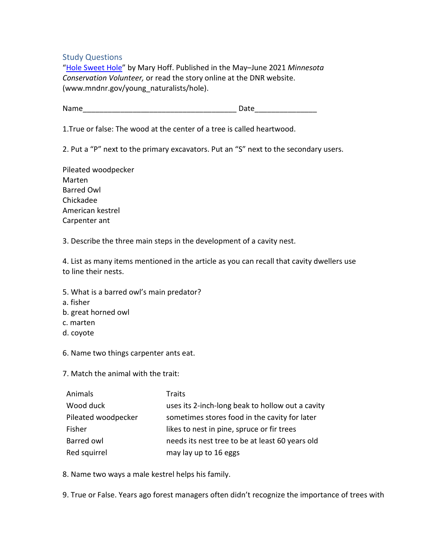Study Questions

["Hole Sweet Hole"](http://www.mndnr.gov/young_naturalists/hole) by Mary Hoff. Published in the May–June 2021 *Minnesota Conservation Volunteer,* or read the story online at the DNR website. (www.mndnr.gov/young\_naturalists/hole).

Name **Name** 

1.True or false: The wood at the center of a tree is called heartwood.

2. Put a "P" next to the primary excavators. Put an "S" next to the secondary users.

Pileated woodpecker Marten Barred Owl Chickadee American kestrel Carpenter ant

3. Describe the three main steps in the development of a cavity nest.

4. List as many items mentioned in the article as you can recall that cavity dwellers use to line their nests.

- 5. What is a barred owl's main predator?
- a. fisher
- b. great horned owl
- c. marten
- d. coyote
- 6. Name two things carpenter ants eat.

7. Match the animal with the trait:

| Animals             | <b>Traits</b>                                    |
|---------------------|--------------------------------------------------|
| Wood duck           | uses its 2-inch-long beak to hollow out a cavity |
| Pileated woodpecker | sometimes stores food in the cavity for later    |
| Fisher              | likes to nest in pine, spruce or fir trees       |
| Barred owl          | needs its nest tree to be at least 60 years old  |
| Red squirrel        | may lay up to 16 eggs                            |

8. Name two ways a male kestrel helps his family.

9. True or False. Years ago forest managers often didn't recognize the importance of trees with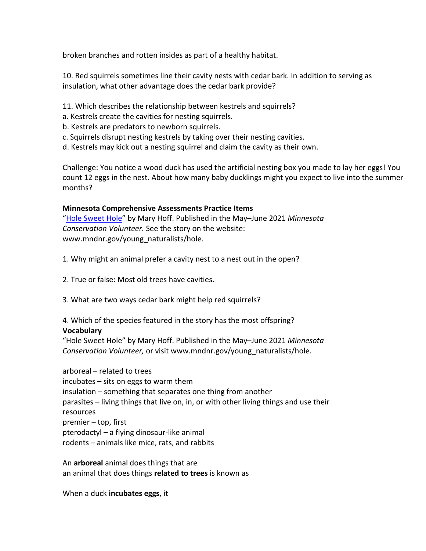broken branches and rotten insides as part of a healthy habitat.

10. Red squirrels sometimes line their cavity nests with cedar bark. In addition to serving as insulation, what other advantage does the cedar bark provide?

- 11. Which describes the relationship between kestrels and squirrels?
- a. Kestrels create the cavities for nesting squirrels.
- b. Kestrels are predators to newborn squirrels.
- c. Squirrels disrupt nesting kestrels by taking over their nesting cavities.
- d. Kestrels may kick out a nesting squirrel and claim the cavity as their own.

Challenge: You notice a wood duck has used the artificial nesting box you made to lay her eggs! You count 12 eggs in the nest. About how many baby ducklings might you expect to live into the summer months?

## **Minnesota Comprehensive Assessments Practice Items**

["Hole Sweet Hole"](http://www.mndnr.gov/young_naturalists/hole) by Mary Hoff. Published in the May–June 2021 *Minnesota Conservation Volunteer.* See the story on the website: www.mndnr.gov/young\_naturalists/hole.

1. Why might an animal prefer a cavity nest to a nest out in the open?

- 2. True or false: Most old trees have cavities.
- 3. What are two ways cedar bark might help red squirrels?

## 4. Which of the species featured in the story has the most offspring? **Vocabulary**

"Hole Sweet Hole" by Mary Hoff. Published in the May–June 2021 *Minnesota Conservation Volunteer,* or visit www.mndnr.gov/young\_naturalists/hole.

arboreal – related to trees incubates – sits on eggs to warm them insulation – something that separates one thing from another parasites – living things that live on, in, or with other living things and use their resources premier – top, first pterodactyl – a flying dinosaur-like animal rodents – animals like mice, rats, and rabbits

An **arboreal** animal does things that are an animal that does things **related to trees** is known as

When a duck **incubates eggs**, it